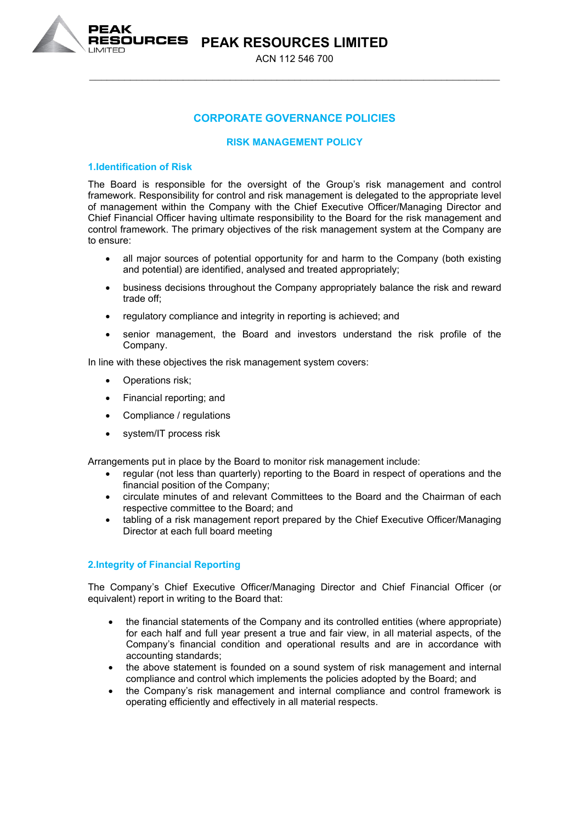**PEAK RESOURCES LIMITED** ACN 112 546 700

\_\_\_\_\_\_\_\_\_\_\_\_\_\_\_\_\_\_\_\_\_\_\_\_\_\_\_\_\_\_\_\_\_\_\_\_\_\_\_\_\_\_\_\_\_\_\_\_\_\_\_\_\_\_\_\_\_\_\_\_\_\_\_\_\_\_\_\_\_\_

# **CORPORATE GOVERNANCE POLICIES**

# **RISK MANAGEMENT POLICY**

## **1.Identification of Risk**

**RESOURCES** 

The Board is responsible for the oversight of the Group's risk management and control framework. Responsibility for control and risk management is delegated to the appropriate level of management within the Company with the Chief Executive Officer/Managing Director and Chief Financial Officer having ultimate responsibility to the Board for the risk management and control framework. The primary objectives of the risk management system at the Company are to ensure:

- all major sources of potential opportunity for and harm to the Company (both existing and potential) are identified, analysed and treated appropriately;
- business decisions throughout the Company appropriately balance the risk and reward trade off;
- regulatory compliance and integrity in reporting is achieved; and
- senior management, the Board and investors understand the risk profile of the Company.

In line with these objectives the risk management system covers:

- Operations risk;
- Financial reporting; and
- Compliance / regulations
- system/IT process risk

Arrangements put in place by the Board to monitor risk management include:

- regular (not less than quarterly) reporting to the Board in respect of operations and the financial position of the Company;
- circulate minutes of and relevant Committees to the Board and the Chairman of each respective committee to the Board; and
- tabling of a risk management report prepared by the Chief Executive Officer/Managing Director at each full board meeting

# **2.Integrity of Financial Reporting**

The Company's Chief Executive Officer/Managing Director and Chief Financial Officer (or equivalent) report in writing to the Board that:

- the financial statements of the Company and its controlled entities (where appropriate) for each half and full year present a true and fair view, in all material aspects, of the Company's financial condition and operational results and are in accordance with accounting standards;
- the above statement is founded on a sound system of risk management and internal compliance and control which implements the policies adopted by the Board; and
- the Company's risk management and internal compliance and control framework is operating efficiently and effectively in all material respects.